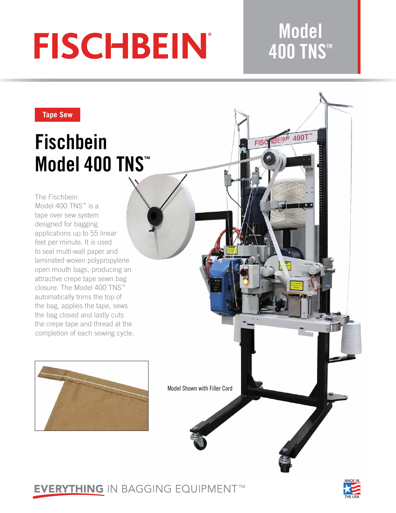# **FISCHBEIN®**

## **Model 400 TNS™**

400T

**FISC FIBEIN** 

#### **Tape Sew**

# **Fischbein Model 400 TNS™**

The Fischbein Model 400 TNS™ is a tape over sew system designed for bagging applications up to 55 linear feet per minute. It is used to seal multi-wall paper and laminated woven polypropylene open mouth bags, producing an attractive crepe tape sewn bag closure. The Model 400 TNS™ automatically trims the top of the bag, applies the tape, sews the bag closed and lastly cuts the crepe tape and thread at the completion of each sewing cycle.





### **EVERYTHING IN BAGGING EQUIPMENT™**